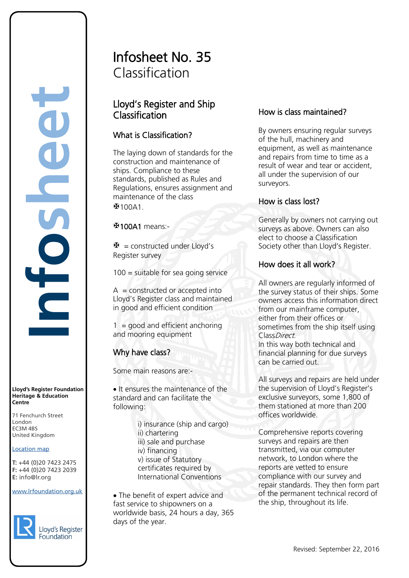**Lloyd's Register Foundation Heritage & Education Centre**

71 Fenchurch Street 7 Thematen Server<br>London EC3M 4BS United Kingdom EC3M 4BS

#### Location map

T: +44 (0)20 7423 2475 **F:** +44 (0)20 7423 2039 Fax: +44 (0)20 7423 2039 **E:** info@lr.org Email: histinfo@lr.org

www.lrfoundation.org.uk



# Infosheet No. 35 Classification

## Lloyd's Register and Ship Classification

### What is Classification?

The laying down of standards for the construction and maintenance of ships. Compliance to these standards, published as Rules and Regulations, ensures assignment and maintenance of the class  $$100A1$ 

100A1 means:-

 $\mathbf{\mathbf{\Phi}}$  = constructed under Lloyd's Register survey

100 = suitable for sea going service

 $A =$  constructed or accepted into Lloyd's Register class and maintained in good and efficient condition

 $1 =$  good and efficient anchoring and mooring equipment

## Why have class?

Some main reasons are:-

• It ensures the maintenance of the standard and can facilitate the following:

> i) insurance (ship and cargo) ii) chartering iii) sale and purchase iv) financing v) issue of Statutory certificates required by International Conventions

• The benefit of expert advice and fast service to shipowners on a worldwide basis, 24 hours a day, 365 days of the year.

### How is class maintained?

By owners ensuring regular surveys of the hull, machinery and equipment, as well as maintenance and repairs from time to time as a result of wear and tear or accident, all under the supervision of our surveyors.

#### How is class lost?

Generally by owners not carrying out surveys as above. Owners can also elect to choose a Classification Society other than Lloyd's Register.

#### How does it all work?

All owners are regularly informed of the survey status of their ships. Some owners access this information direct from our mainframe computer, either from their offices or sometimes from the ship itself using ClassDirect.

In this way both technical and financial planning for due surveys can be carried out.

All surveys and repairs are held under the supervision of Lloyd's Register's exclusive surveyors, some 1,800 of them stationed at more than 200 offices worldwide.

Comprehensive reports covering surveys and repairs are then transmitted, via our computer network, to London where the reports are vetted to ensure compliance with our survey and repair standards. They then form part of the permanent technical record of the ship, throughout its life.